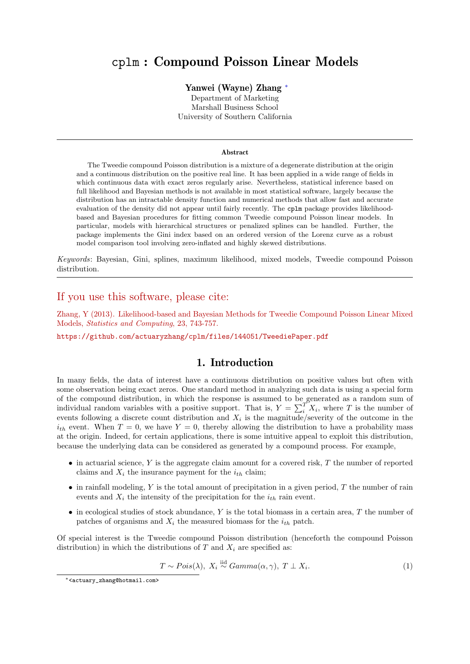# cplm : Compound Poisson Linear Models

### Yanwei (Wayne) Zhang <sup>∗</sup>

Department of Marketing Marshall Business School University of Southern California

#### Abstract

The Tweedie compound Poisson distribution is a mixture of a degenerate distribution at the origin and a continuous distribution on the positive real line. It has been applied in a wide range of fields in which continuous data with exact zeros regularly arise. Nevertheless, statistical inference based on full likelihood and Bayesian methods is not available in most statistical software, largely because the distribution has an intractable density function and numerical methods that allow fast and accurate evaluation of the density did not appear until fairly recently. The cplm package provides likelihoodbased and Bayesian procedures for fitting common Tweedie compound Poisson linear models. In particular, models with hierarchical structures or penalized splines can be handled. Further, the package implements the Gini index based on an ordered version of the Lorenz curve as a robust model comparison tool involving zero-inflated and highly skewed distributions.

Keywords: Bayesian, Gini, splines, maximum likelihood, mixed models, Tweedie compound Poisson distribution.

# If you use this software, please cite:

Zhang, Y (2013). Likelihood-based and Bayesian Methods for Tweedie Compound Poisson Linear Mixed Models, Statistics and Computing, 23, 743-757.

<https://github.com/actuaryzhang/cplm/files/144051/TweediePaper.pdf>

# 1. Introduction

In many fields, the data of interest have a continuous distribution on positive values but often with some observation being exact zeros. One standard method in analyzing such data is using a special form of the compound distribution, in which the response is assumed to be generated as a random sum of individual random variables with a positive support. That is,  $Y = \sum_i^T X_i$ , where T is the number of events following a discrete count distribution and  $X_i$  is the magnitude/severity of the outcome in the  $i_{th}$  event. When  $T = 0$ , we have  $Y = 0$ , thereby allowing the distribution to have a probability mass at the origin. Indeed, for certain applications, there is some intuitive appeal to exploit this distribution, because the underlying data can be considered as generated by a compound process. For example,

- $\bullet$  in actuarial science, Y is the aggregate claim amount for a covered risk, T the number of reported claims and  $X_i$  the insurance payment for the  $i_{th}$  claim;
- $\bullet$  in rainfall modeling, Y is the total amount of precipitation in a given period, T the number of rain events and  $X_i$  the intensity of the precipitation for the  $i_{th}$  rain event.
- in ecological studies of stock abundance,  $Y$  is the total biomass in a certain area,  $T$  the number of patches of organisms and  $X_i$  the measured biomass for the  $i_{th}$  patch.

Of special interest is the Tweedie compound Poisson distribution (henceforth the compound Poisson distribution) in which the distributions of T and  $X_i$  are specified as:

$$
T \sim Pois(\lambda), \ X_i \stackrel{\text{iid}}{\sim} Gamma(\alpha, \gamma), \ T \perp X_i. \tag{1}
$$

<sup>∗</sup><actuary\_zhang@hotmail.com>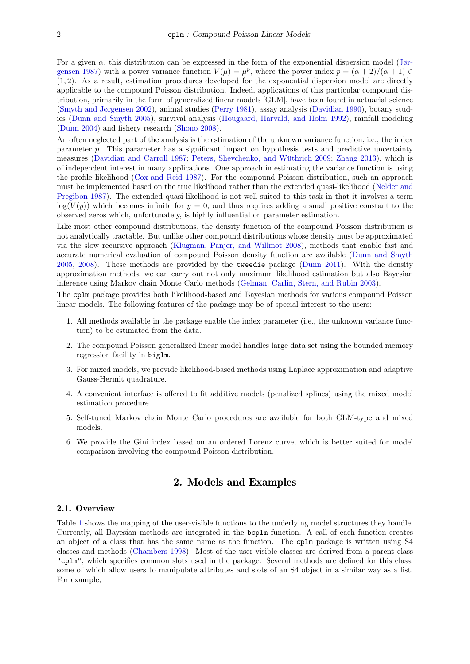For a given  $\alpha$ , this distribution can be expressed in the form of the exponential dispersion model [\(Jør](#page-14-0)[gensen](#page-14-0) [1987\)](#page-14-0) with a power variance function  $V(\mu) = \mu^p$ , where the power index  $p = (\alpha + 2)/(\alpha + 1) \in$  $(1, 2)$ . As a result, estimation procedures developed for the exponential dispersion model are directly applicable to the compound Poisson distribution. Indeed, applications of this particular compound distribution, primarily in the form of generalized linear models [GLM], have been found in actuarial science [\(Smyth and Jørgensen](#page-14-1) [2002\)](#page-14-1), animal studies [\(Perry](#page-14-2) [1981\)](#page-14-2), assay analysis [\(Davidian](#page-13-0) [1990\)](#page-13-0), botany studies [\(Dunn and Smyth](#page-13-1) [2005\)](#page-13-1), survival analysis [\(Hougaard, Harvald, and Holm](#page-14-3) [1992\)](#page-14-3), rainfall modeling [\(Dunn](#page-13-2) [2004\)](#page-13-2) and fishery research [\(Shono](#page-14-4) [2008\)](#page-14-4).

An often neglected part of the analysis is the estimation of the unknown variance function, i.e., the index parameter p. This parameter has a significant impact on hypothesis tests and predictive uncertainty measures [\(Davidian and Carroll](#page-13-3) [1987;](#page-13-3) Peters, Shevchenko, and Wüthrich [2009;](#page-14-5) [Zhang](#page-14-6) [2013\)](#page-14-6), which is of independent interest in many applications. One approach in estimating the variance function is using the profile likelihood [\(Cox and Reid](#page-13-4) [1987\)](#page-13-4). For the compound Poisson distribution, such an approach must be implemented based on the true likelihood rather than the extended quasi-likelihood [\(Nelder and](#page-14-7) [Pregibon](#page-14-7) [1987\)](#page-14-7). The extended quasi-likelihood is not well suited to this task in that it involves a term  $log(V(y))$  which becomes infinite for  $y = 0$ , and thus requires adding a small positive constant to the observed zeros which, unfortunately, is highly influential on parameter estimation.

Like most other compound distributions, the density function of the compound Poisson distribution is not analytically tractable. But unlike other compound distributions whose density must be approximated via the slow recursive approach [\(Klugman, Panjer, and Willmot](#page-14-8) [2008\)](#page-14-8), methods that enable fast and accurate numerical evaluation of compound Poisson density function are available [\(Dunn and Smyth](#page-13-1) [2005,](#page-13-1) [2008\)](#page-13-5). These methods are provided by the tweedie package [\(Dunn](#page-13-6) [2011\)](#page-13-6). With the density approximation methods, we can carry out not only maximum likelihood estimation but also Bayesian inference using Markov chain Monte Carlo methods [\(Gelman, Carlin, Stern, and Rubin](#page-14-9) [2003\)](#page-14-9).

The cplm package provides both likelihood-based and Bayesian methods for various compound Poisson linear models. The following features of the package may be of special interest to the users:

- 1. All methods available in the package enable the index parameter (i.e., the unknown variance function) to be estimated from the data.
- 2. The compound Poisson generalized linear model handles large data set using the bounded memory regression facility in biglm.
- 3. For mixed models, we provide likelihood-based methods using Laplace approximation and adaptive Gauss-Hermit quadrature.
- 4. A convenient interface is offered to fit additive models (penalized splines) using the mixed model estimation procedure.
- 5. Self-tuned Markov chain Monte Carlo procedures are available for both GLM-type and mixed models.
- 6. We provide the Gini index based on an ordered Lorenz curve, which is better suited for model comparison involving the compound Poisson distribution.

# 2. Models and Examples

#### 2.1. Overview

Table [1](#page-2-0) shows the mapping of the user-visible functions to the underlying model structures they handle. Currently, all Bayesian methods are integrated in the bcplm function. A call of each function creates an object of a class that has the same name as the function. The cplm package is written using S4 classes and methods [\(Chambers](#page-13-7) [1998\)](#page-13-7). Most of the user-visible classes are derived from a parent class "cplm", which specifies common slots used in the package. Several methods are defined for this class, some of which allow users to manipulate attributes and slots of an S4 object in a similar way as a list. For example,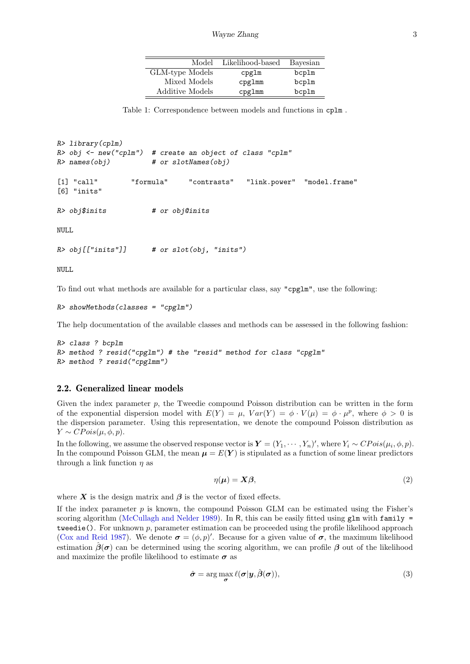| Model           | Likelihood-based | Bayesian |
|-----------------|------------------|----------|
| GLM-type Models | cpg1m            | bcplm    |
| Mixed Models    | cpglmm           | bcplm    |
| Additive Models | cpglmm           | bcplm    |

<span id="page-2-0"></span>Table 1: Correspondence between models and functions in cplm .

```
R> library(cplm)
R> obj <- new("cplm") # create an object of class "cplm"
R names(obj) \# or slotNames(obj)
[1] "call" "formula" "contrasts" "link.power" "model.frame"
[6] "inits"
R> obj$inits # or obj@inits
NULL
R> obj[["inits"] # or slot(obj, "inits")
```
NULL

To find out what methods are available for a particular class, say "cpglm", use the following:

```
R> showMethods(classes = "cpglm")
```
The help documentation of the available classes and methods can be assessed in the following fashion:

```
R> class ? bcplm
R> method ? resid("cpglm") # the "resid" method for class "cpglm"
R> method ? resid("cpglmm")
```
### 2.2. Generalized linear models

Given the index parameter  $p$ , the Tweedie compound Poisson distribution can be written in the form of the exponential dispersion model with  $E(Y) = \mu$ ,  $Var(Y) = \phi \cdot V(\mu) = \phi \cdot \mu^p$ , where  $\phi > 0$  is the dispersion parameter. Using this representation, we denote the compound Poisson distribution as  $Y \sim CPois(\mu, \phi, p).$ 

In the following, we assume the observed response vector is  $\mathbf{Y} = (Y_1, \dots, Y_n)'$ , where  $Y_i \sim CPois(\mu_i, \phi, p)$ . In the compound Poisson GLM, the mean  $\mu = E(Y)$  is stipulated as a function of some linear predictors through a link function  $\eta$  as

$$
\eta(\mu) = X\beta,\tag{2}
$$

where  $\boldsymbol{X}$  is the design matrix and  $\boldsymbol{\beta}$  is the vector of fixed effects.

If the index parameter  $p$  is known, the compound Poisson GLM can be estimated using the Fisher's scoring algorithm [\(McCullagh and Nelder](#page-14-10) [1989\)](#page-14-10). In R, this can be easily fitted using  $glm$  with family = tweedie(). For unknown  $p$ , parameter estimation can be proceeded using the profile likelihood approach [\(Cox and Reid](#page-13-4) [1987\)](#page-13-4). We denote  $\sigma = (\phi, p)'$ . Because for a given value of  $\sigma$ , the maximum likelihood estimation  $\hat{\beta}(\sigma)$  can be determined using the scoring algorithm, we can profile  $\beta$  out of the likelihood and maximize the profile likelihood to estimate  $\sigma$  as

$$
\hat{\sigma} = \arg\max_{\sigma} \ell(\sigma | y, \hat{\beta}(\sigma)), \tag{3}
$$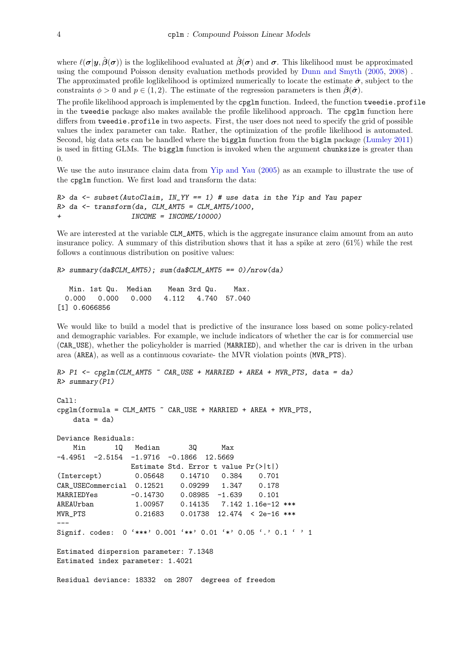where  $\ell(\sigma|\mathbf{y}, \hat{\boldsymbol{\beta}}(\sigma))$  is the loglikelihood evaluated at  $\hat{\boldsymbol{\beta}}(\sigma)$  and  $\sigma$ . This likelihood must be approximated using the compound Poisson density evaluation methods provided by [Dunn and Smyth](#page-13-1) [\(2005,](#page-13-1) [2008\)](#page-13-5) . The approximated profile loglikelihood is optimized numerically to locate the estimate  $\hat{\sigma}$ , subject to the constraints  $\phi > 0$  and  $p \in (1, 2)$ . The estimate of the regression parameters is then  $\hat{\beta}(\hat{\sigma})$ .

The profile likelihood approach is implemented by the cpglm function. Indeed, the function tweedie.profile in the tweedie package also makes available the profile likelihood approach. The cpglm function here differs from tweedie.profile in two aspects. First, the user does not need to specify the grid of possible values the index parameter can take. Rather, the optimization of the profile likelihood is automated. Second, big data sets can be handled where the bigglm function from the biglm package [\(Lumley](#page-14-11) [2011\)](#page-14-11) is used in fitting GLMs. The bigglm function is invoked when the argument chunksize is greater than 0.

We use the auto insurance claim data from [Yip and Yau](#page-14-12) [\(2005\)](#page-14-12) as an example to illustrate the use of the cpglm function. We first load and transform the data:

```
R> da <- subset(AutoClaim, IN_YY == 1) # use data in the Yip and Yau paper
R> da <- transform(da, CLM_AMT5 = CLM_AMT5/1000,
+ INCOME = INCOME/10000)
```
We are interested at the variable CLM\_AMT5, which is the aggregate insurance claim amount from an auto insurance policy. A summary of this distribution shows that it has a spike at zero (61%) while the rest follows a continuous distribution on positive values:

```
R> summary(da$CLM_AMT5); sum(da$CLM_AMT5 == 0)/nrow(da)
```
Min. 1st Qu. Median Mean 3rd Qu. Max. 0.000 0.000 0.000 4.112 4.740 57.040 [1] 0.6066856

We would like to build a model that is predictive of the insurance loss based on some policy-related and demographic variables. For example, we include indicators of whether the car is for commercial use (CAR\_USE), whether the policyholder is married (MARRIED), and whether the car is driven in the urban area (AREA), as well as a continuous covariate- the MVR violation points (MVR\_PTS).

```
R> P1 <- cpglm(CLM_AMT5 ~ CAR_USE + MARRIED + AREA + MVR_PTS, data = da)
R> summary(P1)
Call:
cpglm(formula = CLM_AMT5 ~ ~ CAR_USE + MARRIED + AREA + MVR_PTS,data = da)
Deviance Residuals:
   Min 1Q Median 3Q Max
-4.4951 -2.5154 -1.9716 -0.1866 12.5669
                Estimate Std. Error t value Pr(>|t|)
(Intercept) 0.05648 0.14710 0.384 0.701
CAR_USECommercial 0.12521 0.09299 1.347 0.178
MARRIEDYes -0.14730 0.08985 -1.639 0.101
AREAUrban 1.00957 0.14135 7.142 1.16e-12 ***
MVR_PTS 0.21683 0.01738 12.474 < 2e-16 ***
---
Signif. codes: 0 '***' 0.001 '**' 0.01 '*' 0.05 '.' 0.1 ' ' 1
Estimated dispersion parameter: 7.1348
Estimated index parameter: 1.4021
Residual deviance: 18332 on 2807 degrees of freedom
```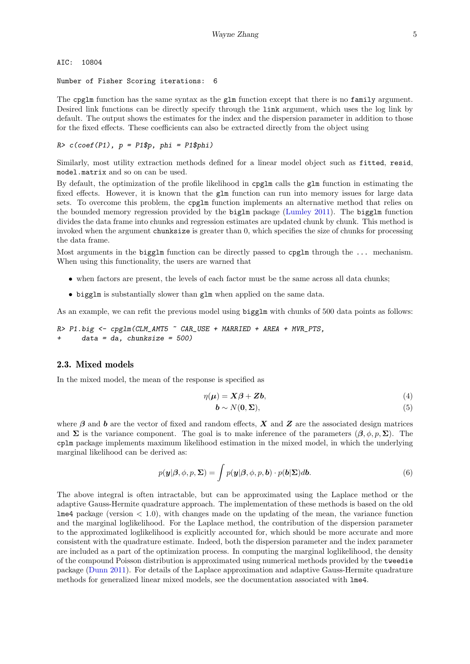AIC: 10804

```
Number of Fisher Scoring iterations: 6
```
The cpglm function has the same syntax as the glm function except that there is no family argument. Desired link functions can be directly specify through the link argument, which uses the log link by default. The output shows the estimates for the index and the dispersion parameter in addition to those for the fixed effects. These coefficients can also be extracted directly from the object using

 $R > c$ (coef(P1),  $p = P1$ \$p,  $phi = P1$ \$phi)

Similarly, most utility extraction methods defined for a linear model object such as fitted, resid, model.matrix and so on can be used.

By default, the optimization of the profile likelihood in cpglm calls the glm function in estimating the fixed effects. However, it is known that the glm function can run into memory issues for large data sets. To overcome this problem, the cpglm function implements an alternative method that relies on the bounded memory regression provided by the biglm package [\(Lumley](#page-14-11) [2011\)](#page-14-11). The bigglm function divides the data frame into chunks and regression estimates are updated chunk by chunk. This method is invoked when the argument chunksize is greater than 0, which specifies the size of chunks for processing the data frame.

Most arguments in the bigglm function can be directly passed to cpglm through the ... mechanism. When using this functionality, the users are warned that

- when factors are present, the levels of each factor must be the same across all data chunks;
- bigglm is substantially slower than glm when applied on the same data.

As an example, we can refit the previous model using bigglm with chunks of 500 data points as follows:

```
R> P1.big \leq cpglm(CLM_AMT5 \degree CAR_USE + MARRIED + AREA + MVR_PTS,
      data = da, chunksize = 500)
```
#### 2.3. Mixed models

In the mixed model, the mean of the response is specified as

$$
\eta(\mu) = X\beta + Zb,\tag{4}
$$

$$
\mathbf{b} \sim N(\mathbf{0}, \Sigma),\tag{5}
$$

where  $\beta$  and **b** are the vector of fixed and random effects, **X** and **Z** are the associated design matrices and  $\Sigma$  is the variance component. The goal is to make inference of the parameters  $(\beta, \phi, p, \Sigma)$ . The cplm package implements maximum likelihood estimation in the mixed model, in which the underlying marginal likelihood can be derived as:

$$
p(\mathbf{y}|\boldsymbol{\beta}, \phi, p, \boldsymbol{\Sigma}) = \int p(\mathbf{y}|\boldsymbol{\beta}, \phi, p, \mathbf{b}) \cdot p(\mathbf{b}|\boldsymbol{\Sigma}) d\mathbf{b}.
$$
 (6)

The above integral is often intractable, but can be approximated using the Laplace method or the adaptive Gauss-Hermite quadrature approach. The implementation of these methods is based on the old  $l$ me4 package (version  $\lt 1.0$ ), with changes made on the updating of the mean, the variance function and the marginal loglikelihood. For the Laplace method, the contribution of the dispersion parameter to the approximated loglikelihood is explicitly accounted for, which should be more accurate and more consistent with the quadrature estimate. Indeed, both the dispersion parameter and the index parameter are included as a part of the optimization process. In computing the marginal loglikelihood, the density of the compound Poisson distribution is approximated using numerical methods provided by the tweedie package [\(Dunn](#page-13-6) [2011\)](#page-13-6). For details of the Laplace approximation and adaptive Gauss-Hermite quadrature methods for generalized linear mixed models, see the documentation associated with lme4.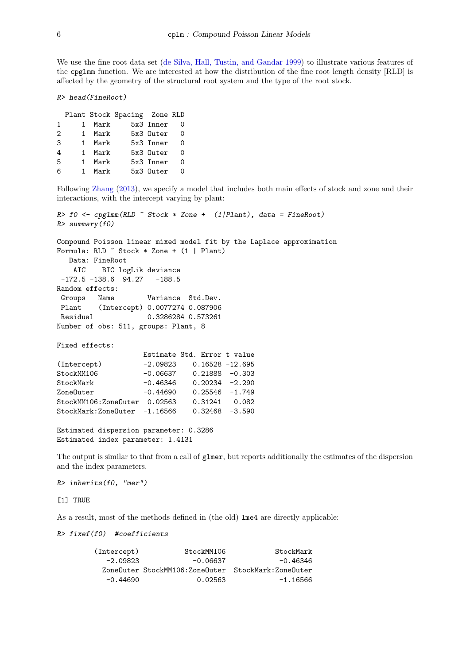We use the fine root data set [\(de Silva, Hall, Tustin, and Gandar](#page-13-8) [1999\)](#page-13-8) to illustrate various features of the cpglmm function. We are interested at how the distribution of the fine root length density [RLD] is affected by the geometry of the structural root system and the type of the root stock.

R> head(FineRoot)

|              |        | Plant Stock Spacing Zone RLD |           |     |
|--------------|--------|------------------------------|-----------|-----|
| $\mathbf{1}$ | 1 Mark |                              | 5x3 Inner |     |
| 2            | 1 Mark |                              | 5x3 Outer | - 0 |
| 3            | 1 Mark |                              | 5x3 Inner | 0   |
| 4            | 1 Mark |                              | 5x3 Outer | ∩   |
| 5            | 1 Mark |                              | 5x3 Inner | 0   |
| 6            | 1 Mark |                              | 5x3 Outer | 0   |
|              |        |                              |           |     |

Following [Zhang](#page-14-6) [\(2013\)](#page-14-6), we specify a model that includes both main effects of stock and zone and their interactions, with the intercept varying by plant:

```
R> f0 \leq \text{cpglmm(RLD} \approx \text{Stock} * \text{Zone} + (1|Plant), data = FineRoot)R> summary(f0)
Compound Poisson linear mixed model fit by the Laplace approximation
Formula: RLD ~ Stock * Zone + (1 | Plant)
  Data: FineRoot
   AIC BIC logLik deviance
-172.5 -138.6 94.27 -188.5Random effects:
Groups Name Variance Std.Dev.
Plant (Intercept) 0.0077274 0.087906
Residual 0.3286284 0.573261
Number of obs: 511, groups: Plant, 8
Fixed effects:
                    Estimate Std. Error t value
(Intercept) -2.09823 0.16528 -12.695
StockMM106 -0.06637 0.21888 -0.303
StockMark -0.46346 0.20234 -2.290
ZoneOuter -0.44690 0.25546 -1.749
StockMM106:ZoneOuter  0.02563  0.31241  0.082<br>StockMark:ZoneOuter -1.16566  0.32468  -3.590
StockMark:ZoneOuter -1.16566
Estimated dispersion parameter: 0.3286
Estimated index parameter: 1.4131
```
The output is similar to that from a call of glmer, but reports additionally the estimates of the dispersion and the index parameters.

R> inherits(f0, "mer")

[1] TRUE

As a result, most of the methods defined in (the old) lme4 are directly applicable:

```
R> fixef(f0) #coefficients
```

| (Intercept) | StockMM106                     | StockMark           |
|-------------|--------------------------------|---------------------|
| $-2.09823$  | $-0.06637$                     | -0.46346            |
|             | ZoneOuter StockMM106:ZoneOuter | StockMark:ZoneOuter |
| $-0.44690$  | 0.02563                        | -1.16566            |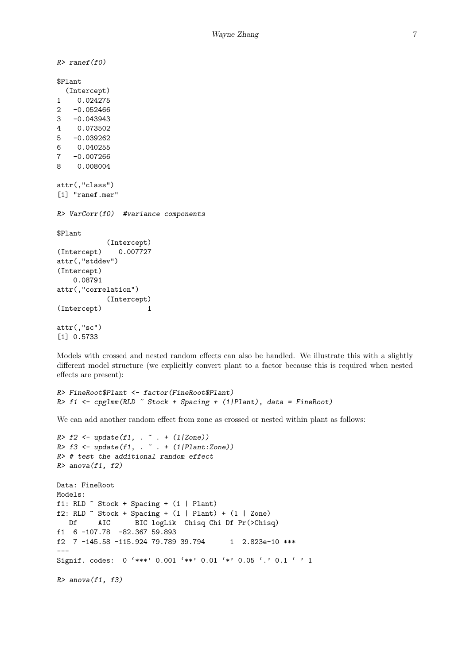$R$ > ranef(f0) \$Plant (Intercept) 1 0.024275 2 -0.052466 3 -0.043943 4 0.073502 5 -0.039262 6 0.040255 7 -0.007266 8 0.008004 attr(,"class") [1] "ranef.mer" R> VarCorr(f0) #variance components \$Plant (Intercept) (Intercept) 0.007727 attr(,"stddev") (Intercept) 0.08791 attr(,"correlation") (Intercept) (Intercept) 1 attr(,"sc") [1] 0.5733

Models with crossed and nested random effects can also be handled. We illustrate this with a slightly different model structure (we explicitly convert plant to a factor because this is required when nested effects are present):

```
R> FineRoot$Plant <- factor(FineRoot$Plant)
R> f1 \leftarrow \text{cpglmm(RLD } \tilde{}} Stock + Spacing + (1|Plant), data = FineRoot)
```
We can add another random effect from zone as crossed or nested within plant as follows:

```
R > f2 \leftarrow update(f1, . . . . + (1|Zone))R > f3 \leftarrow \text{update}(f1, \ldots \leftarrow f1|P1\text{ant}:Z\text{one})R> # test the additional random effect
R> anova(f1, f2)Data: FineRoot
Models:
f1: RLD \tilde{ } Stock + Spacing + (1 | Plant)
f2: RLD \tilde{ } Stock + Spacing + (1 | Plant) + (1 | Zone)
  Df AIC BIC logLik Chisq Chi Df Pr(>Chisq)
f1 6 -107.78 -82.367 59.893
f2 7 -145.58 -115.924 79.789 39.794 1 2.823e-10 ***
---Signif. codes: 0 '***' 0.001 '**' 0.01 '*' 0.05 '.' 0.1 ' ' 1
R> anova(f1, f3)
```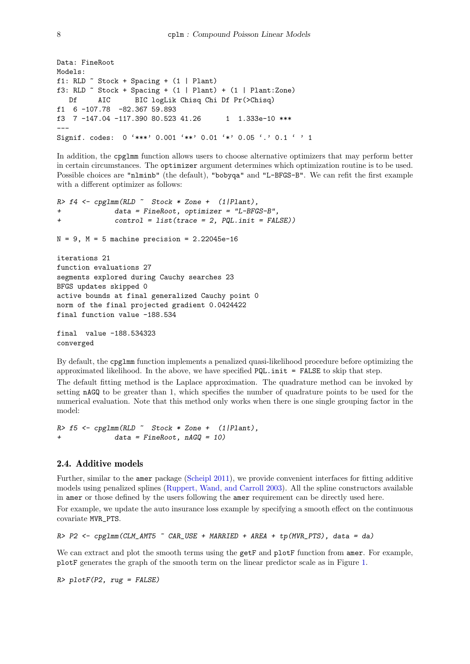```
Data: FineRoot
Models:
f1: RLD ~ Stock + Spacing + (1 | Plant)
f3: RLD \tilde{ } Stock + Spacing + (1 | Plant) + (1 | Plant:Zone)
  Df AIC BIC logLik Chisq Chi Df Pr(>Chisq)
f1 6 -107.78 -82.367 59.893
f3 7 -147.04 -117.390 80.523 41.26 1 1.333e-10 ***
---
Signif. codes: 0 '***' 0.001 '**' 0.01 '*' 0.05 '.' 0.1 ' ' 1
```
In addition, the cpglmm function allows users to choose alternative optimizers that may perform better in certain circumstances. The optimizer argument determines which optimization routine is to be used. Possible choices are "nlminb" (the default), "bobyqa" and "L-BFGS-B". We can refit the first example with a different optimizer as follows:

```
R> f4 <- cpglmm(RLD \sim Stock * Zone + (1|Plant),
+ data = FineRoot, optimizer = "L-BFGS-B",
+ control = list(trace = 2, PQL.init = FALSE))
N = 9, M = 5 machine precision = 2.22045e-16
iterations 21
function evaluations 27
segments explored during Cauchy searches 23
BFGS updates skipped 0
active bounds at final generalized Cauchy point 0
norm of the final projected gradient 0.0424422
final function value -188.534
final value -188.534323
converged
```
By default, the cpglmm function implements a penalized quasi-likelihood procedure before optimizing the approximated likelihood. In the above, we have specified  $PQL$ , init = FALSE to skip that step.

The default fitting method is the Laplace approximation. The quadrature method can be invoked by setting nAGQ to be greater than 1, which specifies the number of quadrature points to be used for the numerical evaluation. Note that this method only works when there is one single grouping factor in the model:

```
R > f5 <- cpglmm(RLD \tilde{ } Stock * Zone + (1|Plant),
               data = FineRoot, nAGQ = 10)
```
### 2.4. Additive models

covariate MVR\_PTS.

Further, similar to the amer package [\(Scheipl](#page-14-13) [2011\)](#page-14-13), we provide convenient interfaces for fitting additive models using penalized splines [\(Ruppert, Wand, and Carroll](#page-14-14) [2003\)](#page-14-14). All the spline constructors available in amer or those defined by the users following the amer requirement can be directly used here. For example, we update the auto insurance loss example by specifying a smooth effect on the continuous

```
R > P2 <- cpglmm(CLM_AMT5 ~ CAR_USE + MARRIED + AREA + tp(MVR_PTS), data = da)
```
We can extract and plot the smooth terms using the getF and plotF function from amer. For example, plotF generates the graph of the smooth term on the linear predictor scale as in Figure [1.](#page-8-0)

 $R$ >  $plotF(P2, rug = FALSE)$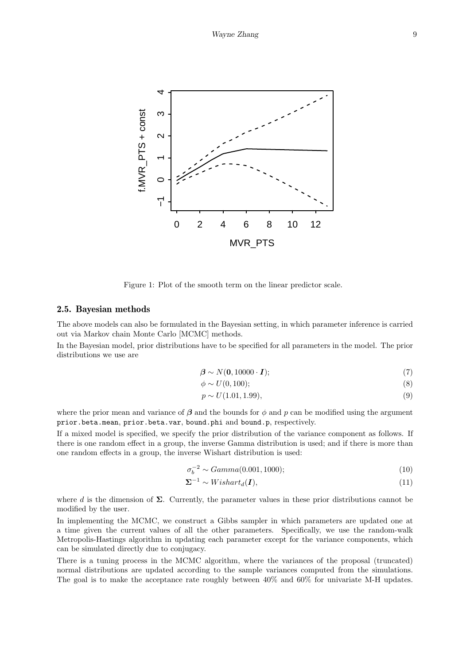

<span id="page-8-0"></span>Figure 1: Plot of the smooth term on the linear predictor scale.

#### 2.5. Bayesian methods

The above models can also be formulated in the Bayesian setting, in which parameter inference is carried out via Markov chain Monte Carlo [MCMC] methods.

In the Bayesian model, prior distributions have to be specified for all parameters in the model. The prior distributions we use are

$$
\boldsymbol{\beta} \sim N(\mathbf{0}, 10000 \cdot \mathbf{I});\tag{7}
$$

$$
\phi \sim U(0, 100); \tag{8}
$$

$$
p \sim U(1.01, 1.99),\tag{9}
$$

where the prior mean and variance of  $\beta$  and the bounds for  $\phi$  and p can be modified using the argument prior.beta.mean, prior.beta.var, bound.phi and bound.p, respectively.

If a mixed model is specified, we specify the prior distribution of the variance component as follows. If there is one random effect in a group, the inverse Gamma distribution is used; and if there is more than one random effects in a group, the inverse Wishart distribution is used:

$$
\sigma_b^{-2} \sim Gamma(0.001, 1000); \tag{10}
$$

$$
\Sigma^{-1} \sim Wishart_d(I),\tag{11}
$$

where d is the dimension of  $\Sigma$ . Currently, the parameter values in these prior distributions cannot be modified by the user.

In implementing the MCMC, we construct a Gibbs sampler in which parameters are updated one at a time given the current values of all the other parameters. Specifically, we use the random-walk Metropolis-Hastings algorithm in updating each parameter except for the variance components, which can be simulated directly due to conjugacy.

There is a tuning process in the MCMC algorithm, where the variances of the proposal (truncated) normal distributions are updated according to the sample variances computed from the simulations. The goal is to make the acceptance rate roughly between 40% and 60% for univariate M-H updates.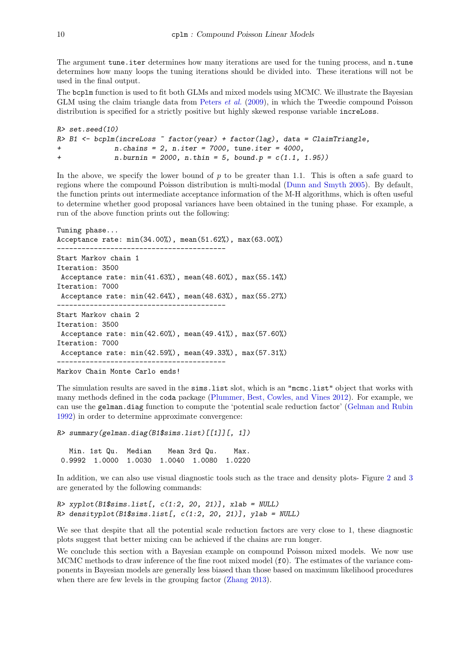The argument tune.iter determines how many iterations are used for the tuning process, and n.tune determines how many loops the tuning iterations should be divided into. These iterations will not be used in the final output.

The bcplm function is used to fit both GLMs and mixed models using MCMC. We illustrate the Bayesian GLM using the claim triangle data from [Peters](#page-14-5) et al. [\(2009\)](#page-14-5), in which the Tweedie compound Poisson distribution is specified for a strictly positive but highly skewed response variable increLoss.

```
R> set.seed(10)
R> B1 <- bcplm(increLoss \tilde{ } factor(year) + factor(lag), data = ClaimTriangle,
+ n.chains = 2, n.iter = 7000, tune.iter = 4000,
+ n.burnin = 2000, n.thin = 5, bound.p = c(1.1, 1.95))
```
In the above, we specify the lower bound of  $p$  to be greater than 1.1. This is often a safe guard to regions where the compound Poisson distribution is multi-modal [\(Dunn and Smyth](#page-13-1) [2005\)](#page-13-1). By default, the function prints out intermediate acceptance information of the M-H algorithms, which is often useful to determine whether good proposal variances have been obtained in the tuning phase. For example, a run of the above function prints out the following:

```
Tuning phase...
Acceptance rate: min(34.00%), mean(51.62%), max(63.00%)
-----------------------------------------
Start Markov chain 1
Iteration: 3500
 Acceptance rate: min(41.63%), mean(48.60%), max(55.14%)
Iteration: 7000
Acceptance rate: min(42.64%), mean(48.63%), max(55.27%)
-----------------------------------------
Start Markov chain 2
Iteration: 3500
Acceptance rate: min(42.60%), mean(49.41%), max(57.60%)
Iteration: 7000
Acceptance rate: min(42.59%), mean(49.33%), max(57.31%)
-----------------------------------------
```

```
Markov Chain Monte Carlo ends!
```
The simulation results are saved in the sims.list slot, which is an "mcmc.list" object that works with many methods defined in the coda package [\(Plummer, Best, Cowles, and Vines](#page-14-15) [2012\)](#page-14-15). For example, we can use the gelman.diag function to compute the 'potential scale reduction factor' [\(Gelman and Rubin](#page-14-16) [1992\)](#page-14-16) in order to determine approximate convergence:

```
R> summary(gelman.diag(B1$sims.list)[[1]][, 1])
```
Min. 1st Qu. Median Mean 3rd Qu. Max. 0.9992 1.0000 1.0030 1.0040 1.0080 1.0220

In addition, we can also use visual diagnostic tools such as the trace and density plots- Figure [2](#page-10-0) and [3](#page-10-1) are generated by the following commands:

```
R> xyplot(B1$sims.list[, c(1:2, 20, 21)], xlab = NULL)
R> densityplot(B1$sims.list[, c(1:2, 20, 21)], ylab = NULL)
```
We see that despite that all the potential scale reduction factors are very close to 1, these diagnostic plots suggest that better mixing can be achieved if the chains are run longer.

We conclude this section with a Bayesian example on compound Poisson mixed models. We now use MCMC methods to draw inference of the fine root mixed model (f0). The estimates of the variance components in Bayesian models are generally less biased than those based on maximum likelihood procedures when there are few levels in the grouping factor [\(Zhang](#page-14-6) [2013\)](#page-14-6).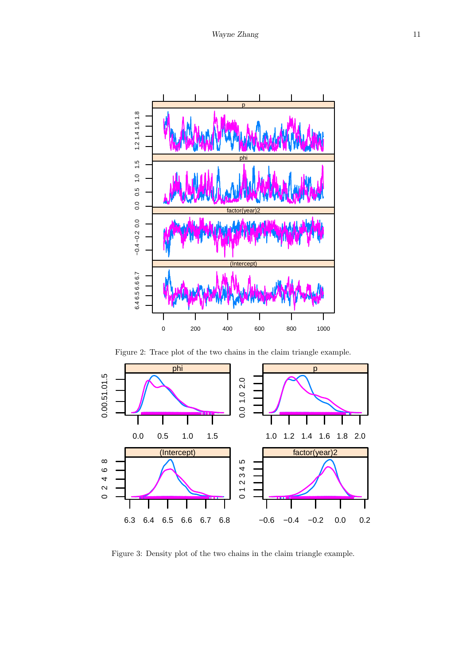

<span id="page-10-0"></span>Figure 2: Trace plot of the two chains in the claim triangle example.



<span id="page-10-1"></span>Figure 3: Density plot of the two chains in the claim triangle example.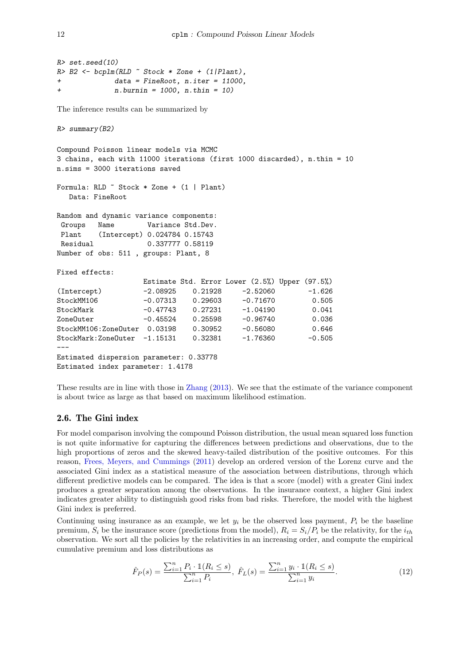```
R> set.seed(10)
R > B2 \leftarrow bcplm(RLD \sim Stock * zone + (1|Plant),+ data = FineRoot, n.iter = 11000,
+ n.burnin = 1000, n.thin = 10)
The inference results can be summarized by
R> summary(B2)
```

```
Compound Poisson linear models via MCMC
3 chains, each with 11000 iterations (first 1000 discarded), n.thin = 10
n.sims = 3000 iterations saved
Formula: RLD ~ Stock * Zone + (1 | Plant)
  Data: FineRoot
Random and dynamic variance components:
Groups Name Variance Std.Dev.
Plant (Intercept) 0.024784 0.15743
Residual 0.337777 0.58119
Number of obs: 511 , groups: Plant, 8
Fixed effects:
                 Estimate Std. Error Lower (2.5%) Upper (97.5%)
(Intercept) -2.08925 0.21928 -2.52060 -1.626
StockMM106 -0.07313 0.29603 -0.71670 0.505
StockMark -0.47743 0.27231 -1.04190 0.041
ZoneOuter -0.45524 0.25598 -0.96740 0.036
StockMM106:ZoneOuter 0.03198 0.30952 -0.56080 0.646
StockMark:ZoneOuter -1.15131  0.32381  -1.76360  -0.505
---
Estimated dispersion parameter: 0.33778
Estimated index parameter: 1.4178
```
These results are in line with those in [Zhang](#page-14-6) [\(2013\)](#page-14-6). We see that the estimate of the variance component is about twice as large as that based on maximum likelihood estimation.

### 2.6. The Gini index

For model comparison involving the compound Poisson distribution, the usual mean squared loss function is not quite informative for capturing the differences between predictions and observations, due to the high proportions of zeros and the skewed heavy-tailed distribution of the positive outcomes. For this reason, [Frees, Meyers, and Cummings](#page-13-9) [\(2011\)](#page-13-9) develop an ordered version of the Lorenz curve and the associated Gini index as a statistical measure of the association between distributions, through which different predictive models can be compared. The idea is that a score (model) with a greater Gini index produces a greater separation among the observations. In the insurance context, a higher Gini index indicates greater ability to distinguish good risks from bad risks. Therefore, the model with the highest Gini index is preferred.

Continuing using insurance as an example, we let  $y_i$  be the observed loss payment,  $P_i$  be the baseline premium,  $S_i$  be the insurance score (predictions from the model),  $R_i = S_i/P_i$  be the relativity, for the  $i_{th}$ observation. We sort all the policies by the relativities in an increasing order, and compute the empirical cumulative premium and loss distributions as

$$
\hat{F}_P(s) = \frac{\sum_{i=1}^n P_i \cdot \mathbb{1}(R_i \le s)}{\sum_{i=1}^n P_i}, \ \hat{F}_L(s) = \frac{\sum_{i=1}^n y_i \cdot \mathbb{1}(R_i \le s)}{\sum_{i=1}^n y_i}.
$$
\n(12)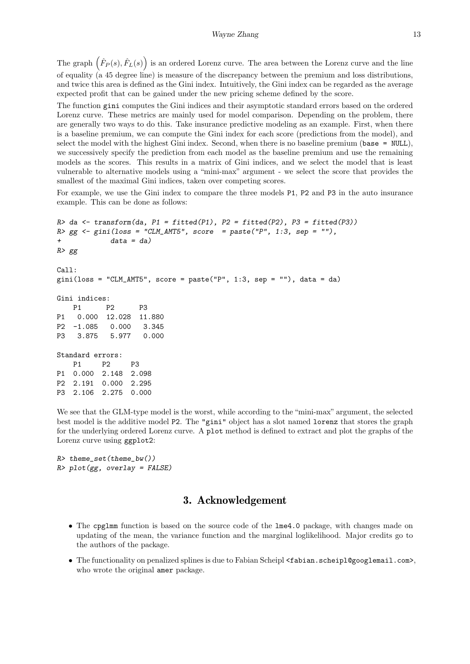The graph  $(\hat{F}_P(s), \hat{F}_L(s))$  is an ordered Lorenz curve. The area between the Lorenz curve and the line of equality (a 45 degree line) is measure of the discrepancy between the premium and loss distributions, and twice this area is defined as the Gini index. Intuitively, the Gini index can be regarded as the average expected profit that can be gained under the new pricing scheme defined by the score.

The function gini computes the Gini indices and their asymptotic standard errors based on the ordered Lorenz curve. These metrics are mainly used for model comparison. Depending on the problem, there are generally two ways to do this. Take insurance predictive modeling as an example. First, when there is a baseline premium, we can compute the Gini index for each score (predictions from the model), and select the model with the highest Gini index. Second, when there is no baseline premium (base = NULL), we successively specify the prediction from each model as the baseline premium and use the remaining models as the scores. This results in a matrix of Gini indices, and we select the model that is least vulnerable to alternative models using a "mini-max" argument - we select the score that provides the smallest of the maximal Gini indices, taken over competing scores.

For example, we use the Gini index to compare the three models P1, P2 and P3 in the auto insurance example. This can be done as follows:

```
R> da <- transform(da, P1 = fitted(P1), P2 = fitted(P2), P3 = fitted(P3))
R> gg \leq g gini(loss = "CLM_AMT5", score = paste("P", 1:3, sep = ""),
+ data = da)
R> gg
Call:
gini(loss = "CLM_AMT5", score = paste("P", 1:3, sep = ""), data = da)
Gini indices:
   P1 P2 P3
P1 0.000 12.028 11.880
P2 -1.085 0.000 3.345
P3 3.875 5.977 0.000
Standard errors:
   P1 P2 P3
P1 0.000 2.148 2.098
P2 2.191 0.000 2.295
P3 2.106 2.275 0.000
```
We see that the GLM-type model is the worst, while according to the "mini-max" argument, the selected best model is the additive model P2. The "gini" object has a slot named lorenz that stores the graph for the underlying ordered Lorenz curve. A plot method is defined to extract and plot the graphs of the Lorenz curve using ggplot2:

 $R$ > theme\_set(theme\_bw()) R> plot(gg, overlay = FALSE)

## 3. Acknowledgement

- The cpglmm function is based on the source code of the lme4.0 package, with changes made on updating of the mean, the variance function and the marginal loglikelihood. Major credits go to the authors of the package.
- The functionality on penalized splines is due to Fabian Scheipl <fabian.scheipl@googlemail.com>, who wrote the original amer package.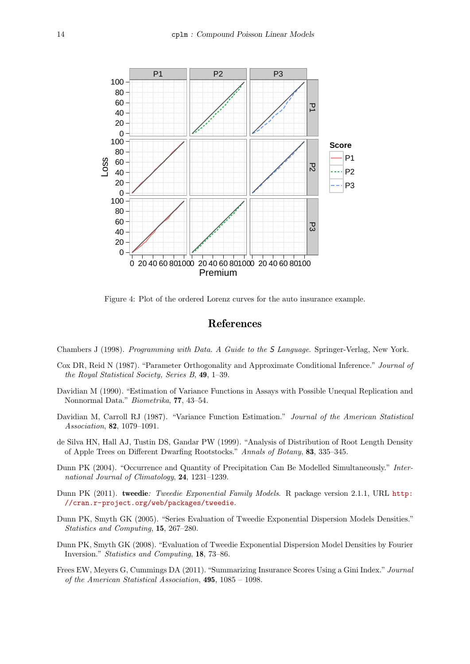

Figure 4: Plot of the ordered Lorenz curves for the auto insurance example.

# References

<span id="page-13-7"></span>Chambers J (1998). Programming with Data. A Guide to the S Language. Springer-Verlag, New York.

- <span id="page-13-4"></span>Cox DR, Reid N (1987). "Parameter Orthogonality and Approximate Conditional Inference." Journal of the Royal Statistical Society, Series B, 49, 1–39.
- <span id="page-13-0"></span>Davidian M (1990). "Estimation of Variance Functions in Assays with Possible Unequal Replication and Nonnormal Data." Biometrika, 77, 43–54.
- <span id="page-13-3"></span>Davidian M, Carroll RJ (1987). "Variance Function Estimation." Journal of the American Statistical Association, 82, 1079–1091.
- <span id="page-13-8"></span>de Silva HN, Hall AJ, Tustin DS, Gandar PW (1999). "Analysis of Distribution of Root Length Density of Apple Trees on Different Dwarfing Rootstocks." Annals of Botany, 83, 335–345.
- <span id="page-13-2"></span>Dunn PK (2004). "Occurrence and Quantity of Precipitation Can Be Modelled Simultaneously." International Journal of Climatology, 24, 1231–1239.
- <span id="page-13-6"></span>Dunn PK (2011). tweedie: Tweedie Exponential Family Models. R package version 2.1.1, URL [http:](http://cran.r-project.org/web/packages/tweedie) [//cran.r-project.org/web/packages/tweedie](http://cran.r-project.org/web/packages/tweedie).
- <span id="page-13-1"></span>Dunn PK, Smyth GK (2005). "Series Evaluation of Tweedie Exponential Dispersion Models Densities." Statistics and Computing, 15, 267–280.
- <span id="page-13-5"></span>Dunn PK, Smyth GK (2008). "Evaluation of Tweedie Exponential Dispersion Model Densities by Fourier Inversion." Statistics and Computing, 18, 73–86.
- <span id="page-13-9"></span>Frees EW, Meyers G, Cummings DA (2011). "Summarizing Insurance Scores Using a Gini Index." Journal of the American Statistical Association, 495, 1085 – 1098.